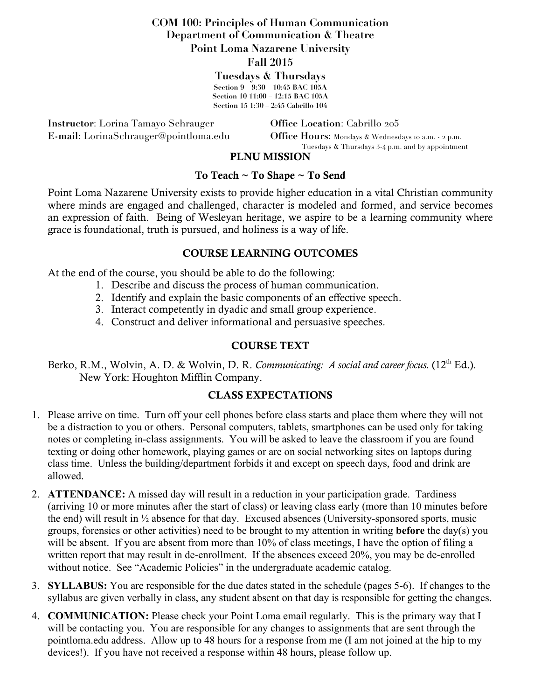## **COM 100: Principles of Human Communication Department of Communication & Theatre Point Loma Nazarene University**

#### **Fall 2015**

**Tuesdays & Thursdays Section 9 – 9:30 – 10:45 BAC 105A Section 10 11:00 – 12:15 BAC 105A Section 15 1:30 – 2:45 Cabrillo 104**

**Instructor**: Lorina Tamayo Schrauger **Office Location**: Cabrillo 205

**E-mail**: LorinaSchrauger@pointloma.edu **Office Hours**: Mondays & Wednesdays 10 a.m. - 2 p.m. Tuesdays & Thursdays 3-4 p.m. and by appointment

#### PLNU MISSION

#### To Teach ~ To Shape ~ To Send

Point Loma Nazarene University exists to provide higher education in a vital Christian community where minds are engaged and challenged, character is modeled and formed, and service becomes an expression of faith. Being of Wesleyan heritage, we aspire to be a learning community where grace is foundational, truth is pursued, and holiness is a way of life.

#### COURSE LEARNING OUTCOMES

At the end of the course, you should be able to do the following:

- 1. Describe and discuss the process of human communication.
- 2. Identify and explain the basic components of an effective speech.
- 3. Interact competently in dyadic and small group experience.
- 4. Construct and deliver informational and persuasive speeches.

### COURSE TEXT

Berko, R.M., Wolvin, A. D. & Wolvin, D. R. *Communicating: A social and career focus.* (12<sup>th</sup> Ed.). New York: Houghton Mifflin Company.

## CLASS EXPECTATIONS

- 1. Please arrive on time. Turn off your cell phones before class starts and place them where they will not be a distraction to you or others. Personal computers, tablets, smartphones can be used only for taking notes or completing in-class assignments. You will be asked to leave the classroom if you are found texting or doing other homework, playing games or are on social networking sites on laptops during class time. Unless the building/department forbids it and except on speech days, food and drink are allowed.
- 2. **ATTENDANCE:** A missed day will result in a reduction in your participation grade. Tardiness (arriving 10 or more minutes after the start of class) or leaving class early (more than 10 minutes before the end) will result in ½ absence for that day. Excused absences (University-sponsored sports, music groups, forensics or other activities) need to be brought to my attention in writing **before** the day(s) you will be absent. If you are absent from more than 10% of class meetings, I have the option of filing a written report that may result in de-enrollment. If the absences exceed 20%, you may be de-enrolled without notice. See "Academic Policies" in the undergraduate academic catalog.
- 3. **SYLLABUS:** You are responsible for the due dates stated in the schedule (pages 5-6). If changes to the syllabus are given verbally in class, any student absent on that day is responsible for getting the changes.
- 4. **COMMUNICATION:** Please check your Point Loma email regularly. This is the primary way that I will be contacting you. You are responsible for any changes to assignments that are sent through the pointloma.edu address. Allow up to 48 hours for a response from me (I am not joined at the hip to my devices!). If you have not received a response within 48 hours, please follow up.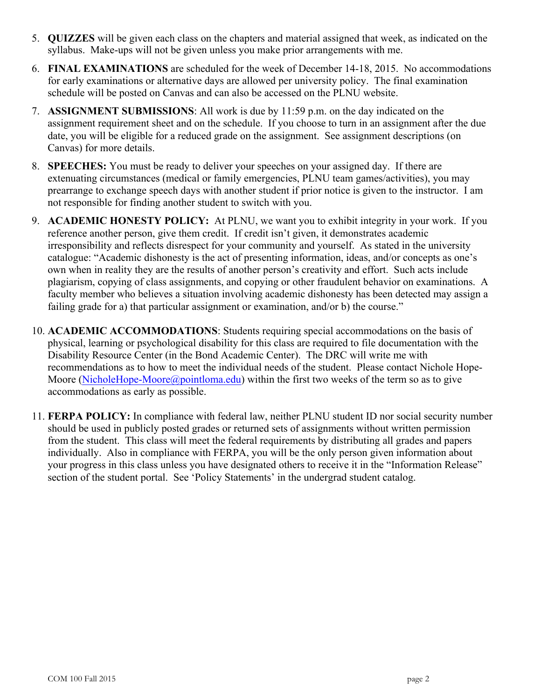- 5. **QUIZZES** will be given each class on the chapters and material assigned that week, as indicated on the syllabus. Make-ups will not be given unless you make prior arrangements with me.
- 6. **FINAL EXAMINATIONS** are scheduled for the week of December 14-18, 2015. No accommodations for early examinations or alternative days are allowed per university policy. The final examination schedule will be posted on Canvas and can also be accessed on the PLNU website.
- 7. **ASSIGNMENT SUBMISSIONS**: All work is due by 11:59 p.m. on the day indicated on the assignment requirement sheet and on the schedule. If you choose to turn in an assignment after the due date, you will be eligible for a reduced grade on the assignment. See assignment descriptions (on Canvas) for more details.
- 8. **SPEECHES:** You must be ready to deliver your speeches on your assigned day. If there are extenuating circumstances (medical or family emergencies, PLNU team games/activities), you may prearrange to exchange speech days with another student if prior notice is given to the instructor. I am not responsible for finding another student to switch with you.
- 9. **ACADEMIC HONESTY POLICY:** At PLNU, we want you to exhibit integrity in your work. If you reference another person, give them credit. If credit isn't given, it demonstrates academic irresponsibility and reflects disrespect for your community and yourself. As stated in the university catalogue: "Academic dishonesty is the act of presenting information, ideas, and/or concepts as one's own when in reality they are the results of another person's creativity and effort. Such acts include plagiarism, copying of class assignments, and copying or other fraudulent behavior on examinations. A faculty member who believes a situation involving academic dishonesty has been detected may assign a failing grade for a) that particular assignment or examination, and/or b) the course."
- 10. **ACADEMIC ACCOMMODATIONS**: Students requiring special accommodations on the basis of physical, learning or psychological disability for this class are required to file documentation with the Disability Resource Center (in the Bond Academic Center). The DRC will write me with recommendations as to how to meet the individual needs of the student. Please contact Nichole Hope-Moore (NicholeHope-Moore@pointloma.edu) within the first two weeks of the term so as to give accommodations as early as possible.
- 11. **FERPA POLICY:** In compliance with federal law, neither PLNU student ID nor social security number should be used in publicly posted grades or returned sets of assignments without written permission from the student. This class will meet the federal requirements by distributing all grades and papers individually. Also in compliance with FERPA, you will be the only person given information about your progress in this class unless you have designated others to receive it in the "Information Release" section of the student portal. See 'Policy Statements' in the undergrad student catalog.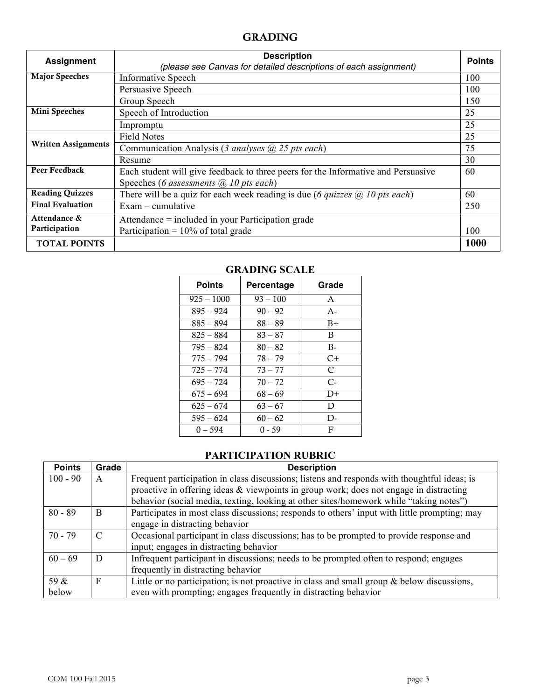#### GRADING

| <b>Assignment</b>          | <b>Description</b><br>(please see Canvas for detailed descriptions of each assignment) | <b>Points</b> |
|----------------------------|----------------------------------------------------------------------------------------|---------------|
| <b>Major Speeches</b>      | <b>Informative Speech</b>                                                              | 100           |
|                            | Persuasive Speech                                                                      | 100           |
|                            | Group Speech                                                                           | 150           |
| <b>Mini Speeches</b>       | Speech of Introduction                                                                 | 25            |
|                            | Impromptu                                                                              | 25            |
| <b>Written Assignments</b> | <b>Field Notes</b>                                                                     | 25            |
|                            | Communication Analysis (3 analyses $(a)$ 25 pts each)                                  | 75            |
|                            | Resume                                                                                 | 30            |
| Peer Feedback              | Each student will give feedback to three peers for the Informative and Persuasive      | 60            |
|                            | Speeches (6 assessments $(a)$ 10 pts each)                                             |               |
| <b>Reading Quizzes</b>     | There will be a quiz for each week reading is due (6 <i>quizzes</i> $(a)$ 10 pts each) | 60            |
| <b>Final Evaluation</b>    | $Exam$ – cumulative                                                                    | 250           |
| Attendance &               | Attendance = included in your Participation grade                                      |               |
| Participation              | Participation = $10\%$ of total grade                                                  | 100           |
| <b>TOTAL POINTS</b>        |                                                                                        | 1000          |

## **Points Percentage Grade**  $925 - 1000$  93 – 100 A  $895 - 924$  90 – 92 A- $885 - 894$  88 – 89 B+  $825 - 884$  83 – 87 B  $795 - 824$  80 – 82 B- $775 - 794$  78 – 79 C+  $725 - 774$  73 – 77 C  $695 - 724$  70 – 72 C- $675 - 694$  68 – 69 D+  $625 - 674$  63 – 67 D  $595 - 624$  60 – 62 D-0 – 594 0 - 59 F

### **GRADING SCALE**

#### **PARTICIPATION RUBRIC**

| <b>Points</b> | Grade | <b>Description</b>                                                                            |  |  |
|---------------|-------|-----------------------------------------------------------------------------------------------|--|--|
| $100 - 90$    | A     | Frequent participation in class discussions; listens and responds with thoughtful ideas; is   |  |  |
|               |       | proactive in offering ideas & viewpoints in group work; does not engage in distracting        |  |  |
|               |       | behavior (social media, texting, looking at other sites/homework while "taking notes")        |  |  |
| $80 - 89$     | B     | Participates in most class discussions; responds to others' input with little prompting; may  |  |  |
|               |       | engage in distracting behavior                                                                |  |  |
| 70 - 79       |       | Occasional participant in class discussions; has to be prompted to provide response and       |  |  |
|               |       | input; engages in distracting behavior                                                        |  |  |
| $60 - 69$     | D     | Infrequent participant in discussions; needs to be prompted often to respond; engages         |  |  |
|               |       | frequently in distracting behavior                                                            |  |  |
| 59 &          | F     | Little or no participation; is not proactive in class and small group $\&$ below discussions, |  |  |
| below         |       | even with prompting; engages frequently in distracting behavior                               |  |  |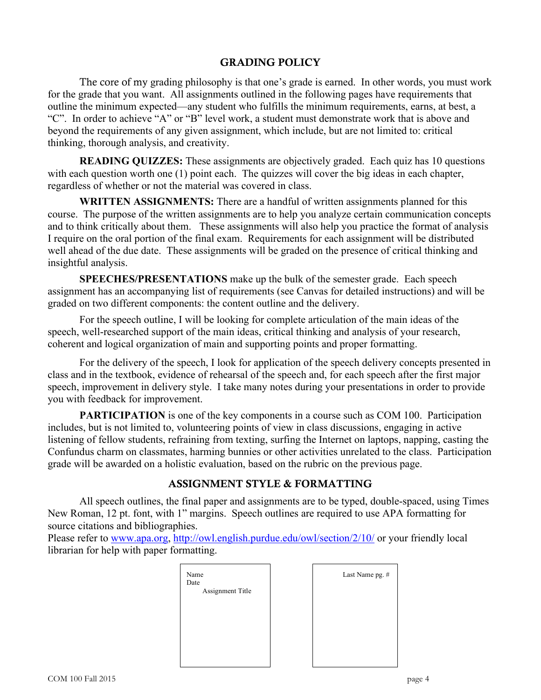## GRADING POLICY

The core of my grading philosophy is that one's grade is earned. In other words, you must work for the grade that you want. All assignments outlined in the following pages have requirements that outline the minimum expected—any student who fulfills the minimum requirements, earns, at best, a "C". In order to achieve "A" or "B" level work, a student must demonstrate work that is above and beyond the requirements of any given assignment, which include, but are not limited to: critical thinking, thorough analysis, and creativity.

**READING QUIZZES:** These assignments are objectively graded. Each quiz has 10 questions with each question worth one (1) point each. The quizzes will cover the big ideas in each chapter, regardless of whether or not the material was covered in class.

**WRITTEN ASSIGNMENTS:** There are a handful of written assignments planned for this course. The purpose of the written assignments are to help you analyze certain communication concepts and to think critically about them. These assignments will also help you practice the format of analysis I require on the oral portion of the final exam. Requirements for each assignment will be distributed well ahead of the due date. These assignments will be graded on the presence of critical thinking and insightful analysis.

**SPEECHES/PRESENTATIONS** make up the bulk of the semester grade. Each speech assignment has an accompanying list of requirements (see Canvas for detailed instructions) and will be graded on two different components: the content outline and the delivery.

For the speech outline, I will be looking for complete articulation of the main ideas of the speech, well-researched support of the main ideas, critical thinking and analysis of your research, coherent and logical organization of main and supporting points and proper formatting.

For the delivery of the speech, I look for application of the speech delivery concepts presented in class and in the textbook, evidence of rehearsal of the speech and, for each speech after the first major speech, improvement in delivery style. I take many notes during your presentations in order to provide you with feedback for improvement.

**PARTICIPATION** is one of the key components in a course such as COM 100. Participation includes, but is not limited to, volunteering points of view in class discussions, engaging in active listening of fellow students, refraining from texting, surfing the Internet on laptops, napping, casting the Confundus charm on classmates, harming bunnies or other activities unrelated to the class. Participation grade will be awarded on a holistic evaluation, based on the rubric on the previous page.

## ASSIGNMENT STYLE & FORMATTING

All speech outlines, the final paper and assignments are to be typed, double-spaced, using Times New Roman, 12 pt. font, with 1" margins. Speech outlines are required to use APA formatting for source citations and bibliographies.

Please refer to www.apa.org, http://owl.english.purdue.edu/owl/section/2/10/ or your friendly local librarian for help with paper formatting.

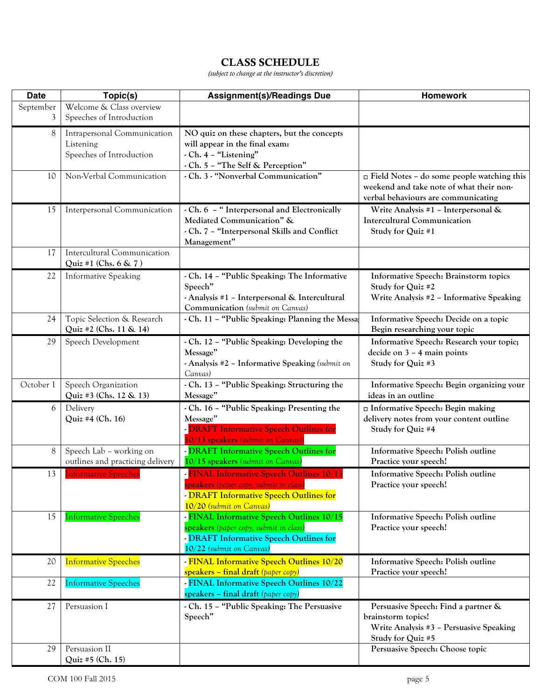# CLASS SCHEDULE

*(subject to change at the instructor's discretion)*

| <b>Date</b>    | Topic(s)                                                             | <b>Assignment(s)/Readings Due</b>                                                                                                                                           | <b>Homework</b>                                                                                                                      |
|----------------|----------------------------------------------------------------------|-----------------------------------------------------------------------------------------------------------------------------------------------------------------------------|--------------------------------------------------------------------------------------------------------------------------------------|
| September<br>3 | Welcome & Class overview<br>Speeches of Introduction                 |                                                                                                                                                                             |                                                                                                                                      |
| 8              | Intrapersonal Communication<br>Listening<br>Speeches of Introduction | NO quiz on these chapters, but the concepts<br>will appear in the final exam:<br>- Ch. 4 - "Listening"<br>- Ch. 5 - "The Self & Perception"                                 |                                                                                                                                      |
| 10             | Non-Verbal Communication                                             | - Ch. 3 - "Nonverbal Communication"                                                                                                                                         | $\Box$ Field Notes - do some people watching this<br>weekend and take note of what their non-<br>verbal behaviours are communicating |
| 15             | Interpersonal Communication                                          | - Ch. 6 - "Interpersonal and Electronically<br>Mediated Communication" &<br>- Ch. 7 - "Interpersonal Skills and Conflict<br>Management"                                     | Write Analysis #1 - Interpersonal &<br><b>Intercultural Communication</b><br>Study for Quiz #1                                       |
| 17             | Intercultural Communication<br>Quiz #1 (Chs. $6 \& 7$ )              |                                                                                                                                                                             |                                                                                                                                      |
| 22             | <b>Informative Speaking</b>                                          | - Ch. 14 - "Public Speaking: The Informative<br>Speech"<br>- Analysis #1 - Interpersonal & Intercultural<br>Communication (submit on Canvas)                                | Informative Speech: Brainstorm topics<br>Study for Quiz #2<br>Write Analysis #2 - Informative Speaking                               |
| 24             | Topic Selection & Research<br>Quiz #2 (Chs. 11 & 14)                 | - Ch. 11 - "Public Speaking: Planning the Messa;                                                                                                                            | Informative Speech: Decide on a topic<br>Begin researching your topic                                                                |
| 29             | Speech Development                                                   | - Ch. 12 - "Public Speaking: Developing the<br>Message"<br>- Analysis #2 - Informative Speaking (submit on<br>Canvas)                                                       | Informative Speech: Research your topic;<br>decide on 3 - 4 main points<br>Study for Quiz #3                                         |
| October 1      | Speech Organization<br>Quiz #3 (Chs. 12 & 13)                        | - Ch. 13 - "Public Speaking: Structuring the<br>Message"                                                                                                                    | Informative Speech: Begin organizing your<br>ideas in an outline                                                                     |
| 6              | Delivery<br>Quiz #4 (Ch. 16)                                         | - Ch. 16 - "Public Speaking: Presenting the<br>Message"<br><b>DRAFT Informative Speech Outlines for</b><br>10/13 speakers (submit on Canvas))                               | □ Informative Speech: Begin making<br>delivery notes from your content outline<br>Study for Quiz #4                                  |
| 8              | Speech Lab - working on<br>outlines and practicing delivery          | - DRAFT Informative Speech Outlines for<br>10/15 speakers (submit on Canvas)                                                                                                | Informative Speech: Polish outline<br>Practice your speech!                                                                          |
| 13             | <b>Informative Speeches</b>                                          | <b>FINAL Informative Speech Outlines 10/13</b><br><mark>speakers</mark> (paper copy, submit in class<br>- DRAFT Informative Speech Outlines for<br>10/20 (submit on Canvas) | Informative Speech: Polish outline<br>Practice your speech!                                                                          |
| 15             | <b>Informative Speeches</b>                                          | - FINAL Informative Speech Outlines 10/15<br>speakers (paper copy, submit in class)<br>- DRAFT Informative Speech Outlines for<br>10/22 (submit on Canvas)                  | Informative Speech: Polish outline<br>Practice your speech!                                                                          |
| 20             | <b>Informative Speeches</b>                                          | - FINAL Informative Speech Outlines 10/20<br>speakers - final draft (paper copy)                                                                                            | Informative Speech: Polish outline<br>Practice your speech!                                                                          |
| 22             | <b>Informative Speeches</b>                                          | - FINAL Informative Speech Outlines 10/22<br>speakers - final draft (paper copy)                                                                                            |                                                                                                                                      |
| 27             | Persuasion I                                                         | - Ch. 15 - "Public Speaking: The Persuasive<br>Speech"                                                                                                                      | Persuasive Speech: Find a partner &<br>brainstorm topics!<br>Write Analysis #3 - Persuasive Speaking<br>Study for Quiz #5            |
| 29             | Persuasion II<br>Quiz #5 (Ch. 15)                                    |                                                                                                                                                                             | Persuasive Speech: Choose topic                                                                                                      |